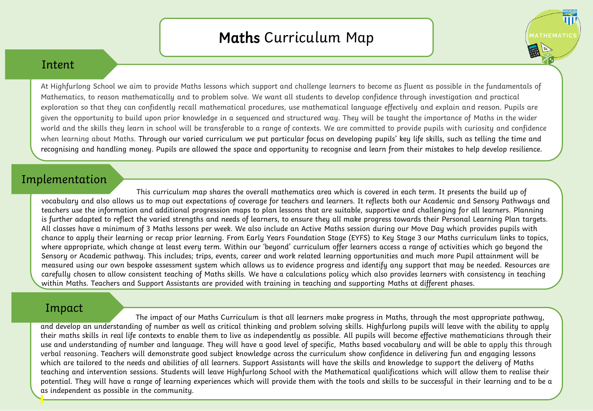## Maths Curriculum Map

**ITHEMATIC** 

## Intent

At Highfurlong School we aim to provide Maths lessons which support and challenge learners to become as fluent as possible in the fundamentals of Mathematics, to reason mathematically and to problem solve. We want all students to develop confidence through investigation and practical exploration so that they can confidently recall mathematical procedures, use mathematical language effectively and explain and reason. Pupils are given the opportunity to build upon prior knowledge in a sequenced and structured way. They will be taught the importance of Maths in the wider world and the skills they learn in school will be transferable to a range of contexts. We are committed to provide pupils with curiosity and confidence when learning about Maths. Through our varied curriculum we put particular focus on developing pupils' key life skills, such as telling the time and recognising and handling money. Pupils are allowed the space and opportunity to recognise and learn from their mistakes to help develop resilience.

## Implementation

This curriculum map shares the overall mathematics area which is covered in each term. It presents the build up of vocabulary and also allows us to map out expectations of coverage for teachers and learners. It reflects both our Academic and Sensory Pathways and teachers use the information and additional progression maps to plan lessons that are suitable, supportive and challenging for all learners. Planning is further adapted to reflect the varied strengths and needs of learners, to ensure they all make progress towards their Personal Learning Plan targets. All classes have a minimum of 3 Maths lessons per week. We also include an Active Maths session during our Move Day which provides pupils with chance to apply their learning or recap prior learning. From Early Years Foundation Stage (EYFS) to Key Stage 3 our Maths curriculum links to topics, where appropriate, which change at least every term. Within our 'beyond' curriculum offer learners access a range of activities which go beyond the Sensory or Academic pathway. This includes; trips, events, career and work related learning opportunities and much more Pupil attainment will be measured using our own bespoke assessment system which allows us to evidence progress and identify any support that may be needed. Resources are carefully chosen to allow consistent teaching of Maths skills. We have a calculations policy which also provides learners with consistency in teaching within Maths. Teachers and Support Assistants are provided with training in teaching and supporting Maths at different phases.

## Impact

The impact of our Maths Curriculum is that all learners make progress in Maths, through the most appropriate pathway, and develop an understanding of number as well as critical thinking and problem solving skills. Highfurlong pupils will leave with the ability to apply their maths skills in real life contexts to enable them to live as independently as possible. All pupils will become effective mathematicians through their use and understanding of number and language. They will have a good level of specific, Maths based vocabulary and will be able to apply this through verbal reasoning. Teachers will demonstrate good subject knowledge across the curriculum show confidence in delivering fun and engaging lessons which are tailored to the needs and abilities of all learners. Support Assistants will have the skills and knowledge to support the delivery of Maths teaching and intervention sessions. Students will leave Highfurlong School with the Mathematical qualifications which will allow them to realise their potential. They will have a range of learning experiences which will provide them with the tools and skills to be successful in their learning and to be a as independent as possible in the community.